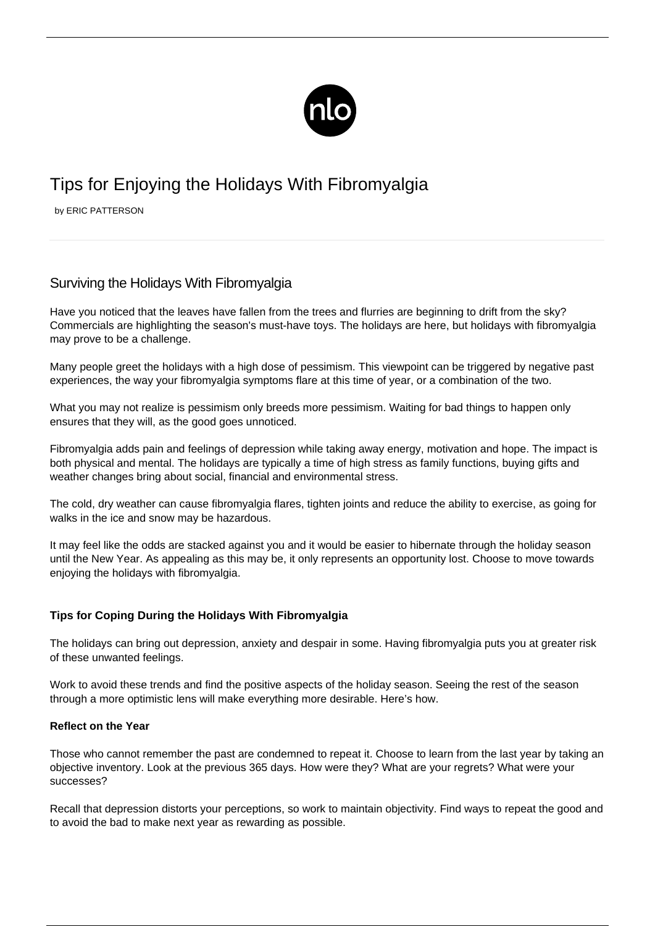

# Tips for Enjoying the Holidays With Fibromyalgia

by ERIC PATTERSON

# Surviving the Holidays With Fibromyalgia

Have you noticed that the leaves have fallen from the trees and flurries are beginning to drift from the sky? Commercials are highlighting the season's must-have toys. The holidays are here, but holidays with fibromyalgia may prove to be a challenge.

Many people greet the holidays with a high dose of pessimism. This viewpoint can be triggered by negative past experiences, the way your fibromyalgia symptoms flare at this time of year, or a combination of the two.

What you may not realize is pessimism only breeds more pessimism. Waiting for bad things to happen only ensures that they will, as the good goes unnoticed.

Fibromyalgia adds pain and feelings of depression while taking away energy, motivation and hope. The impact is both physical and mental. The holidays are typically a time of high stress as family functions, buying gifts and weather changes bring about social, financial and environmental stress.

The [cold, dry weather can cause fibromyalgia flares,](/fibromyalgia-and-cold/) tighten joints and reduce the ability to exercise, as going for walks in the ice and snow may be hazardous.

It may feel like the odds are stacked against you and it would be easier to hibernate through the holiday season until the New Year. As appealing as this may be, it only represents an opportunity lost. Choose to move towards enjoying the holidays with fibromyalgia.

# **Tips for Coping During the Holidays With Fibromyalgia**

The holidays can bring out depression, anxiety and despair in some. Having fibromyalgia puts you at greater risk of these unwanted feelings.

Work to avoid these trends and find the positive aspects of the holiday season. Seeing the rest of the season through a more optimistic lens will make everything more desirable. Here's how.

# **Reflect on the Year**

Those who cannot remember the past are condemned to repeat it. Choose to learn from the last year by taking an objective inventory. Look at the previous 365 days. How were they? What are your regrets? What were your successes?

Recall that depression distorts your perceptions, so work to maintain objectivity. Find ways to repeat the good and to avoid the bad to make next year as rewarding as possible.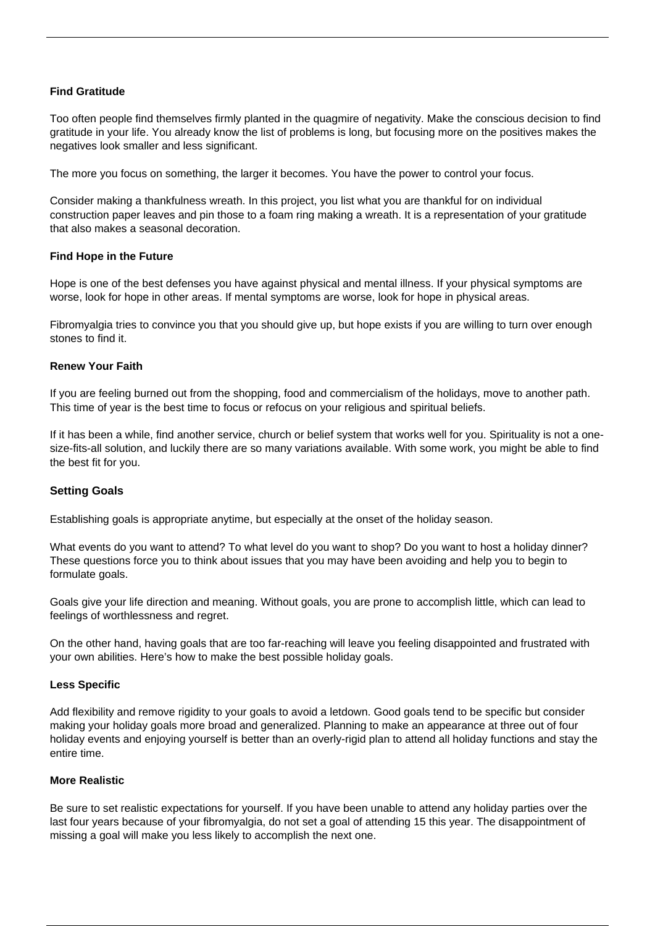# **Find Gratitude**

Too often people find themselves firmly planted in the quagmire of negativity. Make the conscious decision to [find](/positive-thinking-illness/) [gratitude in your life.](/positive-thinking-illness/) You already know the list of problems is long, but focusing more on the positives makes the negatives look smaller and less significant.

The more you focus on something, the larger it becomes. You have the power to control your focus.

Consider making a thankfulness wreath. In this project, you list what you are thankful for on individual construction paper leaves and pin those to a foam ring making a wreath. It is a representation of your gratitude that also makes a seasonal decoration.

#### **Find Hope in the Future**

Hope is one of the best defenses you have against physical and mental illness. If your physical symptoms are worse, look for hope in other areas. If mental symptoms are worse, look for hope in physical areas.

Fibromyalgia tries to convince you that you should give up, but hope exists if you are willing to turn over enough stones to find it.

#### **Renew Your Faith**

If you are feeling burned out from the shopping, food and commercialism of the holidays, move to another path. This time of year is the best time to focus or refocus on your religious and spiritual beliefs.

If it has been a while, find another service, church or belief system that works well for you. Spirituality is not a onesize-fits-all solution, and luckily there are so many variations available. With some work, you might be able to find the best fit for you.

# **Setting Goals**

Establishing goals is appropriate anytime, but especially at the onset of the holiday season.

What events do you want to attend? To what level do you want to shop? Do you want to host a holiday dinner? These questions force you to think about issues that you may have been avoiding and help you to begin to formulate goals.

Goals give your life direction and meaning. Without goals, you are prone to accomplish little, which can lead to feelings of worthlessness and regret.

On the other hand, having goals that are too far-reaching will leave you feeling disappointed and frustrated with your own abilities. Here's how to make the best possible holiday goals.

#### **Less Specific**

Add flexibility and remove rigidity to your goals to avoid a letdown. Good goals tend to be specific but consider making your holiday goals more broad and generalized. Planning to make an appearance at three out of four holiday events and enjoying yourself is better than an overly-rigid plan to attend all holiday functions and stay the entire time.

#### **More Realistic**

Be sure to set realistic expectations for yourself. If you have been unable to attend any holiday parties over the last four years because of your fibromyalgia, do not set a goal of attending 15 this year. The disappointment of missing a goal will make you less likely to accomplish the next one.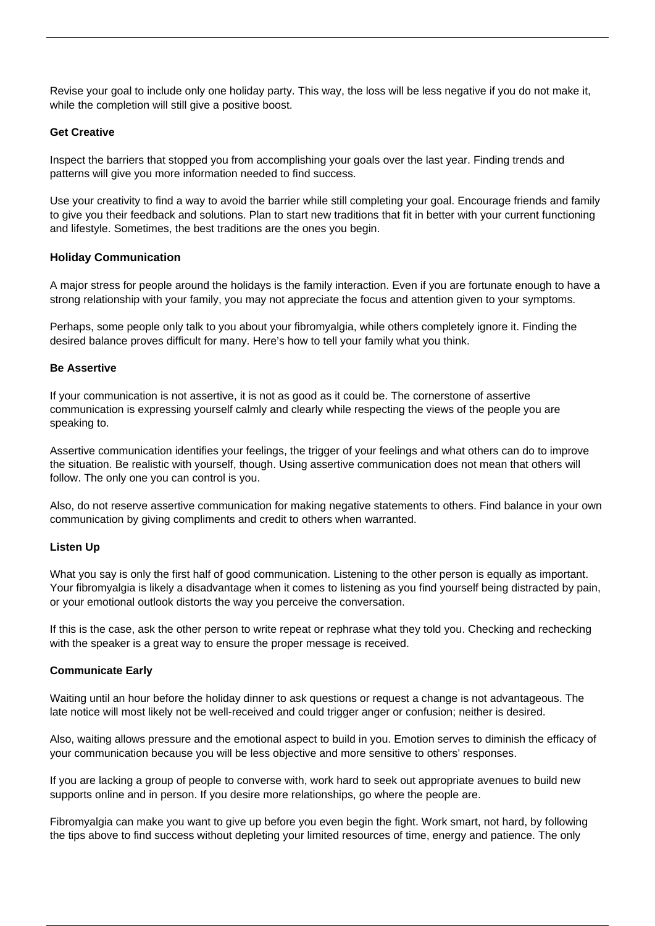Revise your goal to include only one holiday party. This way, the loss will be less negative if you do not make it, while the completion will still give a positive boost.

### **Get Creative**

Inspect the barriers that stopped you from accomplishing your goals over the last year. Finding trends and patterns will give you more information needed to find success.

Use your creativity to find a way to avoid the barrier while still completing your goal. Encourage friends and family to give you their feedback and solutions. Plan to start new traditions that fit in better with your current functioning and lifestyle. Sometimes, the best traditions are the ones you begin.

#### **Holiday Communication**

A major stress for people around the holidays is the family interaction. Even if you are fortunate enough to have a strong relationship with your family, you may not appreciate the focus and attention given to your symptoms.

Perhaps, some people only talk to you about your fibromyalgia, while others completely ignore it. Finding the desired balance proves difficult for many. Here's how to tell your family what you think.

#### **Be Assertive**

If your communication is not assertive, it is not as good as it could be. The cornerstone of assertive communication is expressing yourself calmly and clearly while respecting the views of the people you are speaking to.

Assertive communication identifies your feelings, the trigger of your feelings and what others can do to improve the situation. Be realistic with yourself, though. Using assertive communication does not mean that others will follow. The only one you can control is you.

Also, do not reserve assertive communication for making negative statements to others. Find balance in your own communication by giving compliments and credit to others when warranted.

#### **Listen Up**

What you say is only the first half of good communication. Listening to the other person is equally as important. Your fibromyalgia is likely a disadvantage when it comes to listening as you find yourself being distracted by pain, or your emotional outlook distorts the way you perceive the conversation.

If this is the case, ask the other person to write repeat or rephrase what they told you. Checking and rechecking with the speaker is a great way to ensure the proper message is received.

#### **Communicate Early**

Waiting until an hour before the holiday dinner to ask questions or request a change is not advantageous. The late notice will most likely not be well-received and could trigger anger or confusion; neither is desired.

Also, waiting allows pressure and the emotional aspect to build in you. Emotion serves to diminish the efficacy of your communication because you will be less objective and more sensitive to others' responses.

If you are lacking a group of people to converse with, work hard to seek out appropriate avenues to build new supports online and in person. If you desire more relationships, go where the people are.

Fibromyalgia can make you want to give up before you even begin the fight. Work smart, not hard, by following the tips above to find success without depleting your limited resources of time, energy and patience. The only